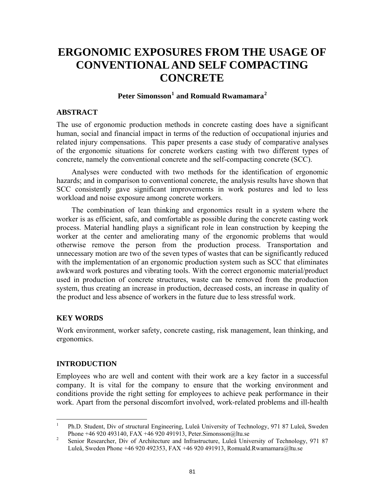# **ERGONOMIC EXPOSURES FROM THE USAGE OF CONVENTIONAL AND SELF COMPACTING CONCRETE**

# **Peter Simonsson[1](#page-0-0) and Romuald Rwamamara[2](#page-0-1)**

## **ABSTRACT**

The use of ergonomic production methods in concrete casting does have a significant human, social and financial impact in terms of the reduction of occupational injuries and related injury compensations. This paper presents a case study of comparative analyses of the ergonomic situations for concrete workers casting with two different types of concrete, namely the conventional concrete and the self-compacting concrete (SCC).

Analyses were conducted with two methods for the identification of ergonomic hazards; and in comparison to conventional concrete, the analysis results have shown that SCC consistently gave significant improvements in work postures and led to less workload and noise exposure among concrete workers.

The combination of lean thinking and ergonomics result in a system where the worker is as efficient, safe, and comfortable as possible during the concrete casting work process. Material handling plays a significant role in lean construction by keeping the worker at the center and ameliorating many of the ergonomic problems that would otherwise remove the person from the production process. Transportation and unnecessary motion are two of the seven types of wastes that can be significantly reduced with the implementation of an ergonomic production system such as SCC that eliminates awkward work postures and vibrating tools. With the correct ergonomic material/product used in production of concrete structures, waste can be removed from the production system, thus creating an increase in production, decreased costs, an increase in quality of the product and less absence of workers in the future due to less stressful work.

### **KEY WORDS**

Work environment, worker safety, concrete casting, risk management, lean thinking, and ergonomics.

## **INTRODUCTION**

Employees who are well and content with their work are a key factor in a successful company. It is vital for the company to ensure that the working environment and conditions provide the right setting for employees to achieve peak performance in their work. Apart from the personal discomfort involved, work-related problems and ill-health

<span id="page-0-0"></span> $\frac{1}{1}$  Ph.D. Student, Div of structural Engineering, Luleå University of Technology, 971 87 Luleå, Sweden Phone +46 920 493140, FAX +46 920 491913, Peter.Simonsson@ltu.se

<span id="page-0-1"></span>Senior Researcher, Div of Architecture and Infrastructure, Luleå University of Technology, 971 87 Luleå, Sweden Phone +46 920 492353, FAX +46 920 491913, Romuald.Rwamamara@ltu.se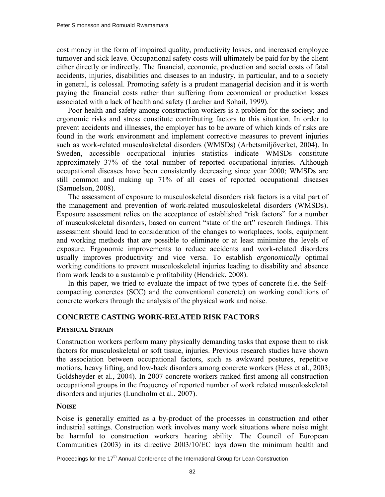cost money in the form of impaired quality, productivity losses, and increased employee turnover and sick leave. Occupational safety costs will ultimately be paid for by the client either directly or indirectly. The financial, economic, production and social costs of fatal accidents, injuries, disabilities and diseases to an industry, in particular, and to a society in general, is colossal. Promoting safety is a prudent managerial decision and it is worth paying the financial costs rather than suffering from economical or production losses associated with a lack of health and safety (Larcher and Sohail, 1999).

Poor health and safety among construction workers is a problem for the society; and ergonomic risks and stress constitute contributing factors to this situation. In order to prevent accidents and illnesses, the employer has to be aware of which kinds of risks are found in the work environment and implement corrective measures to prevent injuries such as work-related musculoskeletal disorders (WMSDs) (Arbetsmiljöverket, 2004). In Sweden, accessible occupational injuries statistics indicate WMSDs constitute approximately 37% of the total number of reported occupational injuries. Although occupational diseases have been consistently decreasing since year 2000; WMSDs are still common and making up 71% of all cases of reported occupational diseases (Samuelson, 2008).

The assessment of exposure to musculoskeletal disorders risk factors is a vital part of the management and prevention of work-related musculoskeletal disorders (WMSDs). Exposure assessment relies on the acceptance of established "risk factors" for a number of musculoskeletal disorders, based on current "state of the art" research findings. This assessment should lead to consideration of the changes to workplaces, tools, equipment and working methods that are possible to eliminate or at least minimize the levels of exposure. Ergonomic improvements to reduce accidents and work-related disorders usually improves productivity and vice versa. To establish *ergonomically* optimal working conditions to prevent musculoskeletal injuries leading to disability and absence from work leads to a sustainable profitability (Hendrick, 2008).

In this paper, we tried to evaluate the impact of two types of concrete (i.e. the Selfcompacting concretes (SCC) and the conventional concrete) on working conditions of concrete workers through the analysis of the physical work and noise.

### **CONCRETE CASTING WORK-RELATED RISK FACTORS**

#### **PHYSICAL STRAIN**

Construction workers perform many physically demanding tasks that expose them to risk factors for musculoskeletal or soft tissue, injuries. Previous research studies have shown the association between occupational factors, such as awkward postures, repetitive motions, heavy lifting, and low-back disorders among concrete workers (Hess et al., 2003; Goldsheyder et al., 2004). In 2007 concrete workers ranked first among all construction occupational groups in the frequency of reported number of work related musculoskeletal disorders and injuries (Lundholm et al., 2007).

### **NOISE**

Noise is generally emitted as a by-product of the processes in construction and other industrial settings. Construction work involves many work situations where noise might be harmful to construction workers hearing ability. The Council of European Communities (2003) in its directive 2003/10/EC lays down the minimum health and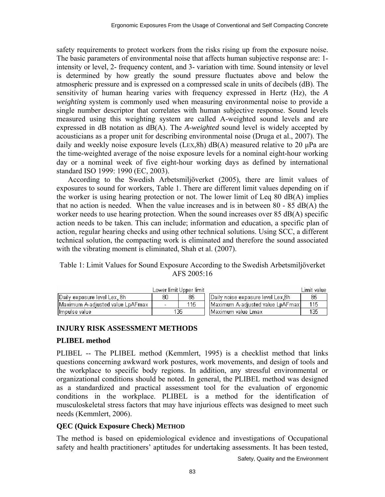safety requirements to protect workers from the risks rising up from the exposure noise. The basic parameters of environmental noise that affects human subjective response are: 1 intensity or level, 2- frequency content, and 3- variation with time. Sound intensity or level is determined by how greatly the sound pressure fluctuates above and below the atmospheric pressure and is expressed on a compressed scale in units of decibels (dB). The sensitivity of human hearing varies with frequency expressed in Hertz (Hz), the *A weighting* system is commonly used when measuring environmental noise to provide a single number descriptor that correlates with human subjective response. Sound levels measured using this weighting system are called A-weighted sound levels and are expressed in dB notation as dB(A). The *A-weighted* sound level is widely accepted by acousticians as a proper unit for describing environmental noise (Druga et al., 2007). The daily and weekly noise exposure levels (LEX,8h)  $dB(A)$  measured relative to 20  $\mu$ Pa are the time-weighted average of the noise exposure levels for a nominal eight-hour working day or a nominal week of five eight-hour working days as defined by international standard ISO 1999: 1990 (EC, 2003).

According to the Swedish Arbetsmiljöverket (2005), there are limit values of exposures to sound for workers, Table 1. There are different limit values depending on if the worker is using hearing protection or not. The lower limit of Leq 80 dB(A) implies that no action is needed. When the value increases and is in between 80 - 85 dB(A) the worker needs to use hearing protection. When the sound increases over 85 dB(A) specific action needs to be taken. This can include; information and education, a specific plan of action, regular hearing checks and using other technical solutions. Using SCC, a different technical solution, the compacting work is eliminated and therefore the sound associated with the vibrating moment is eliminated, Shah et al. (2007).

## Table 1: Limit Values for Sound Exposure According to the Swedish Arbetsmiljöverket AFS 2005:16

|                                  |     | Lower limit Upper limit. |                                     | Limit value. |
|----------------------------------|-----|--------------------------|-------------------------------------|--------------|
| (Daily exposure level Lex, 8h)   | 80  | 85                       | Daily noise exposure level Lex,8h   | 85           |
| Maximum A-adjusted value LpAFmax |     | 115                      | -IMaximum A-adiusted value LpAFmaxI | 115          |
| (Impulse value)                  | 135 |                          | . IMaximum value Lmax               | 135          |

# **INJURY RISK ASSESSMENT METHODS**

## **PLIBEL method**

PLIBEL -- The PLIBEL method (Kemmlert, 1995) is a checklist method that links questions concerning awkward work postures, work movements, and design of tools and the workplace to specific body regions. In addition, any stressful environmental or organizational conditions should be noted. In general, the PLIBEL method was designed as a standardized and practical assessment tool for the evaluation of ergonomic conditions in the workplace. PLIBEL is a method for the identification of musculoskeletal stress factors that may have injurious effects was designed to meet such needs (Kemmlert, 2006).

# **QEC (Quick Exposure Check) METHOD**

The method is based on epidemiological evidence and investigations of Occupational safety and health practitioners' aptitudes for undertaking assessments. It has been tested,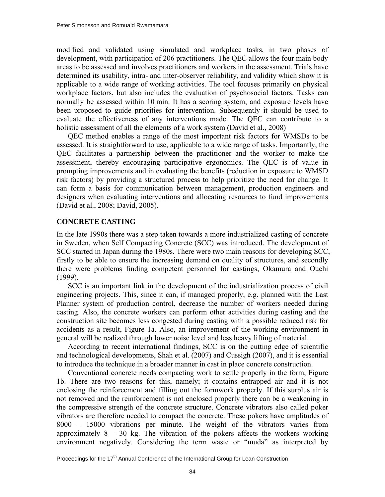modified and validated using simulated and workplace tasks, in two phases of development, with participation of 206 practitioners. The QEC allows the four main body areas to be assessed and involves practitioners and workers in the assessment. Trials have determined its usability, intra- and inter-observer reliability, and validity which show it is applicable to a wide range of working activities. The tool focuses primarily on physical workplace factors, but also includes the evaluation of psychosocial factors. Tasks can normally be assessed within 10 min. It has a scoring system, and exposure levels have been proposed to guide priorities for intervention. Subsequently it should be used to evaluate the effectiveness of any interventions made. The QEC can contribute to a holistic assessment of all the elements of a work system (David et al., 2008)

QEC method enables a range of the most important risk factors for WMSDs to be assessed. It is straightforward to use, applicable to a wide range of tasks. Importantly, the QEC facilitates a partnership between the practitioner and the worker to make the assessment, thereby encouraging participative ergonomics. The QEC is of value in prompting improvements and in evaluating the benefits (reduction in exposure to WMSD risk factors) by providing a structured process to help prioritize the need for change. It can form a basis for communication between management, production engineers and designers when evaluating interventions and allocating resources to fund improvements (David et al., 2008; David, 2005).

# **CONCRETE CASTING**

In the late 1990s there was a step taken towards a more industrialized casting of concrete in Sweden, when Self Compacting Concrete (SCC) was introduced. The development of SCC started in Japan during the 1980s. There were two main reasons for developing SCC, firstly to be able to ensure the increasing demand on quality of structures, and secondly there were problems finding competent personnel for castings, Okamura and Ouchi (1999).

SCC is an important link in the development of the industrialization process of civil engineering projects. This, since it can, if managed properly, e.g. planned with the Last Planner system of production control, decrease the number of workers needed during casting. Also, the concrete workers can perform other activities during casting and the construction site becomes less congested during casting with a possible reduced risk for accidents as a result, Figure 1a. Also, an improvement of the working environment in general will be realized through lower noise level and less heavy lifting of material.

According to recent international findings, SCC is on the cutting edge of scientific and technological developments, Shah et al. (2007) and Cussigh (2007), and it is essential to introduce the technique in a broader manner in cast in place concrete construction.

Conventional concrete needs compacting work to settle properly in the form, Figure 1b. There are two reasons for this, namely; it contains entrapped air and it is not enclosing the reinforcement and filling out the formwork properly. If this surplus air is not removed and the reinforcement is not enclosed properly there can be a weakening in the compressive strength of the concrete structure. Concrete vibrators also called poker vibrators are therefore needed to compact the concrete. These pokers have amplitudes of 8000 – 15000 vibrations per minute. The weight of the vibrators varies from approximately  $8 - 30$  kg. The vibration of the pokers affects the workers working environment negatively. Considering the term waste or "muda" as interpreted by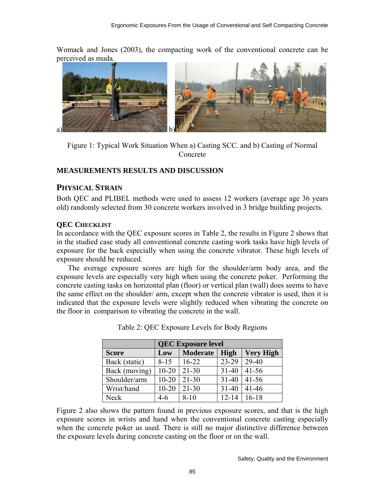Womack and Jones (2003), the compacting work of the conventional concrete can be perceived as muda.



Figure 1: Typical Work Situation When a) Casting SCC. and b) Casting of Normal Concrete

## **MEASUREMENTS RESULTS AND DISCUSSION**

# **PHYSICAL STRAIN**

Both QEC and PLIBEL methods were used to assess 12 workers (average age 36 years old) randomly selected from 30 concrete workers involved in 3 bridge building projects.

# **QEC CHECKLIST**

In accordance with the QEC exposure scores in Table 2, the results in Figure 2 shows that in the studied case study all conventional concrete casting work tasks have high levels of exposure for the back especially when using the concrete vibrator. These high levels of exposure should be reduced.

The average exposure scores are high for the shoulder/arm body area, and the exposure levels are especially very high when using the concrete poker. Performing the concrete casting tasks on horizontal plan (floor) or vertical plan (wall) does seems to have the same effect on the shoulder/ arm, except when the concrete vibrator is used, then it is indicated that the exposure levels were slightly reduced when vibrating the concrete on the floor in comparison to vibrating the concrete in the wall.

|               | <b>QEC Exposure level</b>                          |           |           |           |  |  |  |
|---------------|----------------------------------------------------|-----------|-----------|-----------|--|--|--|
| <b>Score</b>  | Low<br>High<br><b>Moderate</b><br><b>Very High</b> |           |           |           |  |  |  |
| Back (static) | $8 - 15$                                           | $16-22$   | 23-29     | 29-40     |  |  |  |
| Back (moving) | $10 - 20$                                          | $21 - 30$ | $31 - 40$ | $41 - 56$ |  |  |  |
| Shoulder/arm  | $10 - 20$                                          | $21 - 30$ | $31 - 40$ | $41 - 56$ |  |  |  |
| Wrist/hand    | $10 - 20$                                          | $21 - 30$ | $31 - 40$ | $41 - 46$ |  |  |  |
| Neck          | $4-6$                                              | $8 - 10$  | $12 - 14$ | $16-18$   |  |  |  |

Table 2: QEC Exposure Levels for Body Regions

Figure 2 also shows the pattern found in previous exposure scores, and that is the high exposure scores in wrists and hand when the conventional concrete casting especially when the concrete poker us used. There is still no major distinctive difference between the exposure levels during concrete casting on the floor or on the wall.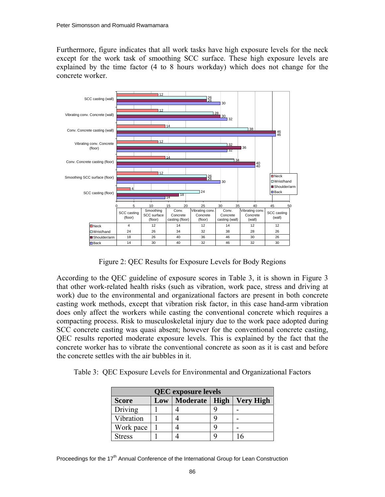Furthermore, figure indicates that all work tasks have high exposure levels for the neck except for the work task of smoothing SCC surface. These high exposure levels are explained by the time factor (4 to 8 hours workday) which does not change for the concrete worker.



Figure 2: QEC Results for Exposure Levels for Body Regions

According to the QEC guideline of exposure scores in Table 3, it is shown in Figure 3 that other work-related health risks (such as vibration, work pace, stress and driving at work) due to the environmental and organizational factors are present in both concrete casting work methods, except that vibration risk factor, in this case hand-arm vibration does only affect the workers while casting the conventional concrete which requires a compacting process. Risk to musculoskeletal injury due to the work pace adopted during SCC concrete casting was quasi absent; however for the conventional concrete casting, QEC results reported moderate exposure levels. This is explained by the fact that the concrete worker has to vibrate the conventional concrete as soon as it is cast and before the concrete settles with the air bubbles in it.

Table 3: QEC Exposure Levels for Environmental and Organizational Factors

| <b>QEC</b> exposure levels |     |                 |   |                  |  |  |
|----------------------------|-----|-----------------|---|------------------|--|--|
| <b>Score</b>               | Low | Moderate   High |   | <b>Very High</b> |  |  |
| Driving                    |     |                 |   |                  |  |  |
| Vibration                  |     |                 | q |                  |  |  |
| Work pace                  |     |                 | q |                  |  |  |
| <b>Stress</b>              |     |                 |   | 6                |  |  |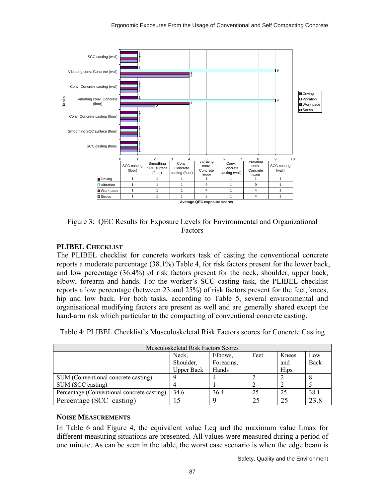

Figure 3: QEC Results for Exposure Levels for Environmental and Organizational Factors

# **PLIBEL CHECKLIST**

The PLIBEL checklist for concrete workers task of casting the conventional concrete reports a moderate percentage (38.1%) Table 4, for risk factors present for the lower back, and low percentage (36.4%) of risk factors present for the neck, shoulder, upper back, elbow, forearm and hands. For the worker's SCC casting task, the PLIBEL checklist reports a low percentage (between 23 and 25%) of risk factors present for the feet, knees, hip and low back. For both tasks, according to Table 5, several environmental and organisational modifying factors are present as well and are generally shared except the hand-arm risk which particular to the compacting of conventional concrete casting.

| Table 4: PLIBEL Checklist's Musculoskeletal Risk Factors scores for Concrete Casting |  |  |  |
|--------------------------------------------------------------------------------------|--|--|--|
|                                                                                      |  |  |  |

| <b>Musculoskeletal Risk Factors Scores</b> |                   |           |      |             |      |  |  |
|--------------------------------------------|-------------------|-----------|------|-------------|------|--|--|
|                                            | Neck,             | Elbows,   | Feet | Knees       | Low  |  |  |
|                                            | Shoulder,         | Forearms, |      | and         | Back |  |  |
|                                            | <b>Upper Back</b> | Hands     |      | <b>Hips</b> |      |  |  |
| SUM (Conventional concrete casting)        |                   |           |      |             |      |  |  |
| SUM (SCC casting)                          |                   |           |      |             |      |  |  |
| Percentage (Conventional concrete casting) | 34.6              | 36.4      | 25   | 25          | 38.1 |  |  |
| Percentage (SCC casting)                   |                   |           | 25   | 25          | 23.8 |  |  |

## **NOISE MEASUREMENTS**

In Table 6 and Figure 4, the equivalent value Leq and the maximum value Lmax for different measuring situations are presented. All values were measured during a period of one minute. As can be seen in the table, the worst case scenario is when the edge beam is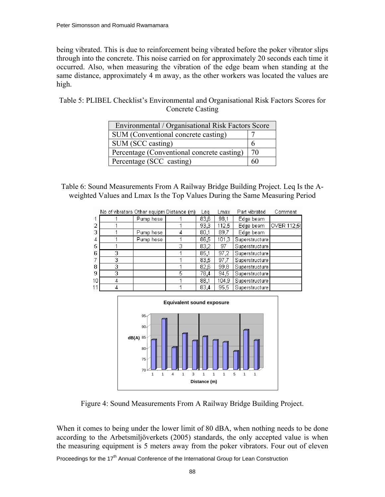being vibrated. This is due to reinforcement being vibrated before the poker vibrator slips through into the concrete. This noise carried on for approximately 20 seconds each time it occurred. Also, when measuring the vibration of the edge beam when standing at the same distance, approximately 4 m away, as the other workers was located the values are high.

Table 5: PLIBEL Checklist's Environmental and Organisational Risk Factors Scores for Concrete Casting

| Environmental / Organisational Risk Factors Score |    |  |  |  |
|---------------------------------------------------|----|--|--|--|
| SUM (Conventional concrete casting)               |    |  |  |  |
| SUM (SCC casting)                                 |    |  |  |  |
| Percentage (Conventional concrete casting)        | 70 |  |  |  |
| Percentage (SCC casting)                          |    |  |  |  |

Table 6: Sound Measurements From A Railway Bridge Building Project. Leq Is the Aweighted Values and Lmax Is the Top Values During the Same Measuring Period

|    | No of vibrators Other equipm Distance (m) |           |   | Lea  | Lmax  | Part vibrated  | Comment     |
|----|-------------------------------------------|-----------|---|------|-------|----------------|-------------|
|    |                                           | Pump hose |   | 83,6 | 98,1  | Edge beam      |             |
| 2  |                                           |           |   | 93,3 | 112,5 | Edge beam      | OVER 112.5! |
| 3  |                                           | Pump hose |   | 80,1 | 89.7  | Edge beam      |             |
| 4  |                                           | Pump hose |   | 86,5 | 101,3 | Superstructure |             |
| 5  |                                           |           | З | 83,2 | 97    | Superstructure |             |
| 6  | 3                                         |           |   | 85.1 | 97.2  | Superstructure |             |
|    | 3                                         |           |   | 83.5 | 97.7  | Superstructure |             |
| 8  | 3                                         |           |   | 82,6 | 99.8  | Superstructure |             |
| 9  | 3                                         |           | 5 | 78,4 | 94.5  | Superstructure |             |
| 10 | 4                                         |           |   | 88,1 | 104.9 | Superstructure |             |
| 11 | 4                                         |           |   | 83.4 | 95.5  | Superstructure |             |



Figure 4: Sound Measurements From A Railway Bridge Building Project.

When it comes to being under the lower limit of 80 dBA, when nothing needs to be done according to the Arbetsmiljöverkets (2005) standards, the only accepted value is when the measuring equipment is 5 meters away from the poker vibrators. Four out of eleven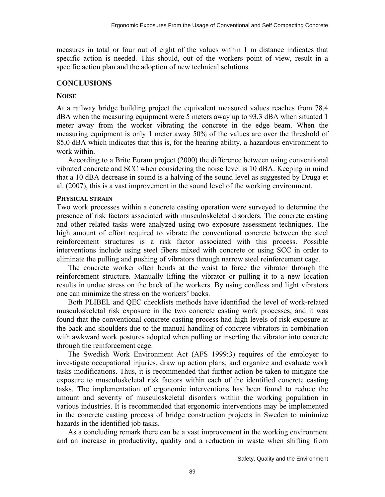measures in total or four out of eight of the values within 1 m distance indicates that specific action is needed. This should, out of the workers point of view, result in a specific action plan and the adoption of new technical solutions.

### **CONCLUSIONS**

#### **NOISE**

At a railway bridge building project the equivalent measured values reaches from 78,4 dBA when the measuring equipment were 5 meters away up to 93,3 dBA when situated 1 meter away from the worker vibrating the concrete in the edge beam. When the measuring equipment is only 1 meter away 50% of the values are over the threshold of 85,0 dBA which indicates that this is, for the hearing ability, a hazardous environment to work within.

According to a Brite Euram project (2000) the difference between using conventional vibrated concrete and SCC when considering the noise level is 10 dBA. Keeping in mind that a 10 dBA decrease in sound is a halving of the sound level as suggested by Druga et al. (2007), this is a vast improvement in the sound level of the working environment.

#### **PHYSICAL STRAIN**

Two work processes within a concrete casting operation were surveyed to determine the presence of risk factors associated with musculoskeletal disorders. The concrete casting and other related tasks were analyzed using two exposure assessment techniques. The high amount of effort required to vibrate the conventional concrete between the steel reinforcement structures is a risk factor associated with this process. Possible interventions include using steel fibers mixed with concrete or using SCC in order to eliminate the pulling and pushing of vibrators through narrow steel reinforcement cage.

The concrete worker often bends at the waist to force the vibrator through the reinforcement structure. Manually lifting the vibrator or pulling it to a new location results in undue stress on the back of the workers. By using cordless and light vibrators one can minimize the stress on the workers' backs.

Both PLIBEL and QEC checklists methods have identified the level of work-related musculoskeletal risk exposure in the two concrete casting work processes, and it was found that the conventional concrete casting process had high levels of risk exposure at the back and shoulders due to the manual handling of concrete vibrators in combination with awkward work postures adopted when pulling or inserting the vibrator into concrete through the reinforcement cage.

The Swedish Work Environment Act (AFS 1999:3) requires of the employer to investigate occupational injuries, draw up action plans, and organize and evaluate work tasks modifications. Thus, it is recommended that further action be taken to mitigate the exposure to musculoskeletal risk factors within each of the identified concrete casting tasks. The implementation of ergonomic interventions has been found to reduce the amount and severity of musculoskeletal disorders within the working population in various industries. It is recommended that ergonomic interventions may be implemented in the concrete casting process of bridge construction projects in Sweden to minimize hazards in the identified job tasks.

As a concluding remark there can be a vast improvement in the working environment and an increase in productivity, quality and a reduction in waste when shifting from